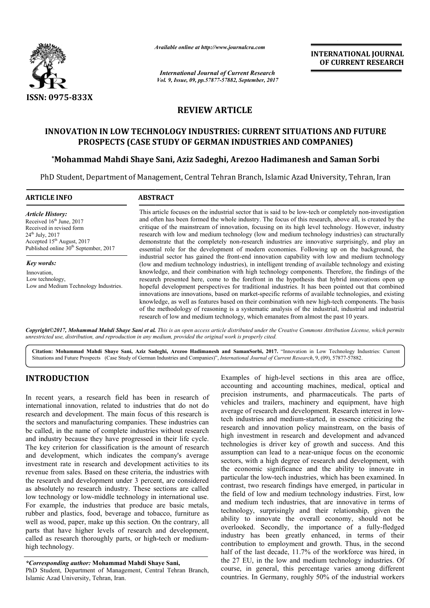

*Available online at http://www.journal http://www.journalcra.com*

*International Journal of Current Research Vol. 9, Issue, 09, pp.57877-57882, September, 2017* **INTERNATIONAL JOURNAL OF CURRENT RESEARCH** 

# **REVIEW ARTICLE**

## **INNOVATION IN LOW TECHNOLOGY INDUSTRIES: CURRENT SITUATIONS AND FUTURE**  TION IN LOW TECHNOLOGY INDUSTRIES: CURRENT SITUATIONS AND<br>PROSPECTS (CASE STUDY OF GERMAN INDUSTRIES AND COMPANIES)

## **\*Mohammad Mahdi Shaye Sani, Aziz Sadeghi, Arezoo Hadimanesh and Saman Sorbi**

PhD Student, Department of Management, Central Tehran Branch, Islamic Azad University, Tehran, Iran

| <b>ARTICLE INFO</b>                               | <b>ABSTRACT</b>                                                                                           |
|---------------------------------------------------|-----------------------------------------------------------------------------------------------------------|
| <b>Article History:</b>                           | This article focuses on the industrial sector that is said to be low-tech or completely non-investigation |
| Received 16 <sup>th</sup> June, 2017              | and often has been formed the whole industry. The focus of this research, above all, is created by the    |
| Received in revised form                          | critique of the mainstream of innovation, focusing on its high level technology. However, industry        |
| $24^{th}$ July, $2017$                            | research with low and medium technology (low and medium technology industries) can structurally           |
| Accepted $15th$ August, 2017                      | demonstrate that the completely non-research industries are innovative surprisingly, and play an          |
| Published online 30 <sup>th</sup> September, 2017 | essential role for the development of modern economies. Following up on the background, the               |
|                                                   | industrial sector has gained the front-end innovation capability with low and medium technology           |
| Key words:                                        | (low and medium technology industries), in intelligent trending of available technology and existing      |
| Innovation,                                       | knowledge, and their combination with high technology components. Therefore, the findings of the          |
| Low technology,                                   | research presented here, come to the forefront in the hypothesis that hybrid innovations open up          |
| Low and Medium Technology Industries.             | hopeful development perspectives for traditional industries. It has been pointed out that combined        |
|                                                   | innovations are innovations, based on market-specific reforms of available technologies, and existing     |
|                                                   | knowledge, as well as features based on their combination with new high-tech components. The basis        |
|                                                   | of the methodology of reasoning is a systematic analysis of the industrial, industrial and industrial     |
|                                                   | research of low and medium technology, which emanates from almost the past 10 years.                      |

Copyright©2017, Mohammad Mahdi Shaye Sani et al. This is an open access article distributed under the Creative Commons Attribution License, which permits *unrestricted use, distribution, and reproduction in any medium, provided the original work is properly cited.*

Citation: Mohammad Mahdi Shaye Sani, Aziz Sadeghi, Arezoo Hadimanesh and SamanSorbi, 2017. "Innovation in Low Technology Industries: Current Situations and Future Prospects (Case Study of German Industries and Companies)", *International Journal of Current Research*, 9, (09), 57877-57882.

# **INTRODUCTION**

In recent years, a research field has been in research of international innovation, related to industries that do not do research and development. The main focus of this research is the sectors and manufacturing companies. These industries can be called, in the name of complete industries without research and industry because they have progressed in their life cycle. The key criterion for classification is the amount of research and development, which indicates the company's average investment rate in research and development activities to its revenue from sales. Based on these criteria, the industries with the research and development under 3 percent, are considered as absolutely no research industry. These sections are called low technology or low-middle technology in international use. For example, the industries that produce are basic metals, rubber and plastics, food, beverage and tobacco, furniture as well as wood, paper, make up this section. On the contrary, all parts that have higher levels of research and development, called as research thoroughly parts, or high-tech or mediumhigh technology. n the name of complete industries without research<br>y because they have progressed in their life cycle.<br>iterion for classification is the amount of research<br>ppment, which indicates the company's average<br>rate in research and

#### *\*Corresponding author:* **Mohammad Mahdi Shaye Sani Sani,**

PhD Student, Department of Management, Central Tehran Branch, Islamic Azad University, Tehran, Iran.

Examples of high-level sections in this area are office, accounting and accounting machines, medical, optical and precision instruments, and pharmaceuticals. The parts of vehicles and trailers, machinery and equipment, have high Examples of high-level sections in this area are office, accounting and accounting machines, medical, optical and precision instruments, and pharmaceuticals. The parts of vehicles and trailers, machinery and equipment, hav tech industries and medium-started, in essence criticizing the research and innovation policy mainstream, on the basis of high investment in research and development and advanced tech industries and medium-started, in essence criticizing the research and innovation policy mainstream, on the basis of high investment in research and development and advanced technologies is driver key of growth and su assumption can lead to a near-unique focus on the economic sectors, with a high degree of research and development, with the economic significance and the ability to innovate in particular the low-tech industries, which has been examined. In contrast, two research findings have emerged, in particular in the field of low and medium technology industries. and medium tech industries, that are innovative in terms of technology, surprisingly and their relationship, given the ability to innovate the overall economy, should not be overlooked. Secondly, the importance of a fully industry has been greatly enhanced, in terms of their contribution to employment and growth. Thus, in the second industry has been greatly enhanced, in terms of their contribution to employment and growth. Thus, in the second half of the last decade, 11.7% of the workforce was hired, in the 27 EU, in the low and medium technology industries. Of course, in general, this percentage varies among different countries. In Germany, roughly 50% of the industrial workers icular the low-tech industries, which has been examined. In trast, two research findings have emerged, in particular in field of low and medium technology industries. First, low It tech industries, that are innovative in terms of surprisingly and their relationship, given the mnovate the overall economy, should not be Secondly, the importance of a fully-fledged Examples of the state of the state of the state of the state of the state of the state of the state of the state of the state of the state of the state of the state of the state of the state of the state of the state of th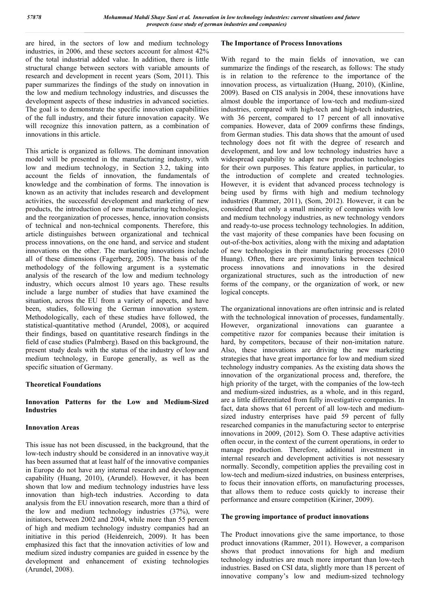are hired, in the sectors of low and medium technology industries, in 2006, and these sectors account for almost 42% of the total industrial added value. In addition, there is little structural change between sectors with variable amounts of research and development in recent years (Som, 2011). This paper summarizes the findings of the study on innovation in the low and medium technology industries, and discusses the development aspects of these industries in advanced societies. The goal is to demonstrate the specific innovation capabilities of the full industry, and their future innovation capacity. We will recognize this innovation pattern, as a combination of innovations in this article.

This article is organized as follows. The dominant innovation model will be presented in the manufacturing industry, with low and medium technology, in Section 3.2, taking into account the fields of innovation, the fundamentals of knowledge and the combination of forms. The innovation is known as an activity that includes research and development activities, the successful development and marketing of new products, the introduction of new manufacturing technologies, and the reorganization of processes, hence, innovation consists of technical and non-technical components. Therefore, this article distinguishes between organizational and technical process innovations, on the one hand, and service and student innovations on the other. The marketing innovations include all of these dimensions (Fagerberg, 2005). The basis of the methodology of the following argument is a systematic analysis of the research of the low and medium technology industry, which occurs almost 10 years ago. These results include a large number of studies that have examined the situation, across the EU from a variety of aspects, and have been, studies, following the German innovation system. Methodologically, each of these studies have followed, the statistical-quantitative method (Arundel, 2008), or acquired their findings, based on quantitative research findings in the field of case studies (Palmberg). Based on this background, the present study deals with the status of the industry of low and medium technology, in Europe generally, as well as the specific situation of Germany.

### **Theoretical Foundations**

### **Innovation Patterns for the Low and Medium-Sized Industries**

### **Innovation Areas**

This issue has not been discussed, in the background, that the low-tech industry should be considered in an innovative way,it has been assumed that at least half of the innovative companies in Europe do not have any internal research and development capability (Huang, 2010), (Arundel). However, it has been shown that low and medium technology industries have less innovation than high-tech industries. According to data analysis from the EU innovation research, more than a third of the low and medium technology industries (37%), were initiators, between 2002 and 2004, while more than 55 percent of high and medium technology industry companies had an initiative in this period (Heidenreich, 2009). It has been emphasized this fact that the innovation activities of low and medium sized industry companies are guided in essence by the development and enhancement of existing technologies (Arundel, 2008).

### **The Importance of Process Innovations**

With regard to the main fields of innovation, we can summarize the findings of the research, as follows: The study is in relation to the reference to the importance of the innovation process, as virtualization (Huang, 2010), (Kinline, 2009). Based on CIS analysis in 2004, these innovations have almost double the importance of low-tech and medium-sized industries, compared with high-tech and high-tech industries, with 36 percent, compared to 17 percent of all innovative companies. However, data of 2009 confirms these findings, from German studies. This data shows that the amount of used technology does not fit with the degree of research and development, and low and low technology industries have a widespread capability to adapt new production technologies for their own purposes. This feature applies, in particular, to the introduction of complete and created technologies. However, it is evident that advanced process technology is being used by firms with high and medium technology industries (Rammer, 2011), (Som, 2012). However, it can be considered that only a small minority of companies with low and medium technology industries, as new technology vendors and ready-to-use process technology technologies. In addition, the vast majority of these companies have been focusing on out-of-the-box activities, along with the mixing and adaptation of new technologies in their manufacturing processes (2010 Huang). Often, there are proximity links between technical process innovations and innovations in the desired organizational structures, such as the introduction of new forms of the company, or the organization of work, or new logical concepts.

The organizational innovations are often intrinsic and is related with the technological innovation of processes, fundamentally. However, organizational innovations can guarantee a competitive razor for companies because their imitation is hard, by competitors, because of their non-imitation nature. Also, these innovations are driving the new marketing strategies that have great importance for low and medium sized technology industry companies. As the existing data shows the innovation of the organizational process and, therefore, the high priority of the target, with the companies of the low-tech and medium-sized industries, as a whole, and in this regard, are a little differentiated from fully investigative companies. In fact, data shows that 61 percent of all low-tech and mediumsized industry enterprises have paid 59 percent of fully researched companies in the manufacturing sector to enterprise innovations in 2009, (2012). Som O. These adaptive activities often occur, in the context of the current operations, in order to manage production. Therefore, additional investment in internal research and development activities is not nessesary normally. Secondly, competition applies the prevailing cost in low-tech and medium-sized industries, on business enterprises, to focus their innovation efforts, on manufacturing processes, that allows them to reduce costs quickly to increase their performance and ensure competition (Kiriner, 2009).

### **The growing importance of product innovations**

The Product innovations give the same importance, to those product innovations (Rammer, 2011). However, a comparison shows that product innovations for high and medium technology industries are much more important than low-tech industries. Based on CSI data, slightly more than 18 percent of innovative company's low and medium-sized technology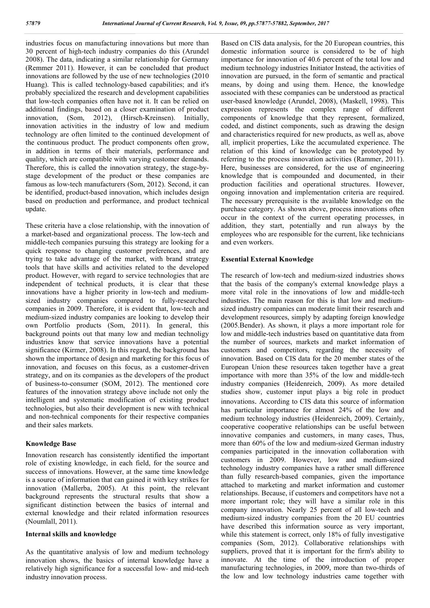industries focus on manufacturing innovations but more than 30 percent of high-tech industry companies do this (Arundel 2008). The data, indicating a similar relationship for Germany (Remmer 2011). However, it can be concluded that product innovations are followed by the use of new technologies (2010 Huang). This is called technology-based capabilities; and it's probably specialized the research and development capabilities that low-tech companies often have not it. It can be relied on additional findings, based on a closer examination of product innovation, (Som, 2012), (Hirsch-Kreinsen). Initially, innovation activities in the industry of low and medium technology are often limited to the continued development of the continuous product. The product components often grow, in addition in terms of their materials, performance and quality, which are compatible with varying customer demands. Therefore, this is called the innovation strategy, the stage-bystage development of the product or these companies are famous as low-tech manufacturers (Som, 2012). Second, it can be identified, product-based innovation, which includes design based on production and performance, and product technical update.

These criteria have a close relationship, with the innovation of a market-based and organizational process. The low-tech and middle-tech companies pursuing this strategy are looking for a quick response to changing customer preferences, and are trying to take advantage of the market, with brand strategy tools that have skills and activities related to the developed product. However, with regard to service technologies that are independent of technical products, it is clear that these innovations have a higher priority in low-tech and mediumsized industry companies compared to fully-researched companies in 2009. Therefore, it is evident that, low-tech and medium-sized industry companies are looking to develop their own Portfolio products (Som, 2011). In general, this background points out that many low and median technoligy industries know that service innovations have a potential significance (Kirmer, 2008). In this regard, the background has shown the importance of design and marketing for this focus of innovation, and focuses on this focus, as a customer-driven strategy, and on its companies as the developers of the product of business-to-consumer (SOM, 2012). The mentioned core features of the innovation strategy above include not only the intelligent and systematic modification of existing product technologies, but also their development is new with technical and non-technical components for their respective companies and their sales markets.

### **Knowledge Base**

Innovation research has consistently identified the important role of existing knowledge, in each field, for the source and success of innovations. However, at the same time knowledge is a source of information that can gained it with key strikes for innovation (Mallerba, 2005). At this point, the relevant background represents the structural results that show a significant distinction between the basics of internal and external knowledge and their related information resources (Noumlall, 2011).

#### **Internal skills and knowledge**

As the quantitative analysis of low and medium technology innovation shows, the basics of internal knowledge have a relatively high significance for a successful low- and mid-tech industry innovation process.

Based on CIS data analysis, for the 20 European countries, this domestic information source is considered to be of high importance for innovation of 40.6 percent of the total low and medium technology industries Initiator Instead, the activities of innovation are pursued, in the form of semantic and practical means, by doing and using them. Hence, the knowledge associated with these companies can be understood as practical user-based knowledge (Arundel, 2008), (Maskell, 1998). This expression represents the complex range of different components of knowledge that they represent, formalized, coded, and distinct components, such as drawing the design and characteristics required for new products, as well as, above all, implicit properties, Like the accumulated experience. The relation of this kind of knowledge can be prototyped by referring to the process innovation activities (Rammer, 2011). Here, businesses are considered, for the use of engineering knowledge that is compounded and documented, in their production facilities and operational structures. However, ongoing innovation and implementation criteria are required. The necessary prerequisite is the available knowledge on the purchase category. As shown above, process innovations often occur in the context of the current operating processes, in addition, they start, potentially and run always by the employees who are responsible for the current, like technicians and even workers.

#### **Essential External Knowledge**

The research of low-tech and medium-sized industries shows that the basis of the company's external knowledge plays a more vital role in the innovations of low and middle-tech industries. The main reason for this is that low and mediumsized industry companies can moderate limit their research and development resources, simply by adapting foreign knowledge (2005.Bender). As shown, it plays a more important role for low and middle-tech industries based on quantitative data from the number of sources, markets and market information of customers and competitors, regarding the necessity of innovation. Based on CIS data for the 20 member states of the European Union these resources taken together have a great importance with more than 35% of the low and middle-tech industry companies (Heidenreich, 2009). As more detailed studies show, customer input plays a big role in product innovations. According to CIS data this source of information has particular importance for almost 24% of the low and medium technology industries (Heidenreich, 2009). Certainly, cooperative cooperative relationships can be useful between innovative companies and customers, in many cases, Thus, more than 60% of the low and medium-sized German industry companies participated in the innovation collaboration with customers in 2009. However, low and medium-sized technology industry companies have a rather small difference than fully research-based companies, given the importance attached to marketing and market information and customer relationships. Because, if customers and competitors have not a more important role; they will have a similar role in this company innovation. Nearly 25 percent of all low-tech and medium-sized industry companies from the 20 EU countries have described this information source as very important, while this statement is correct, only 18% of fully investigative companies (Som, 2012). Collaborative relationships with suppliers, proved that it is important for the firm's ability to innovate. At the time of the introduction of proper manufacturing technologies, in 2009, more than two-thirds of the low and low technology industries came together with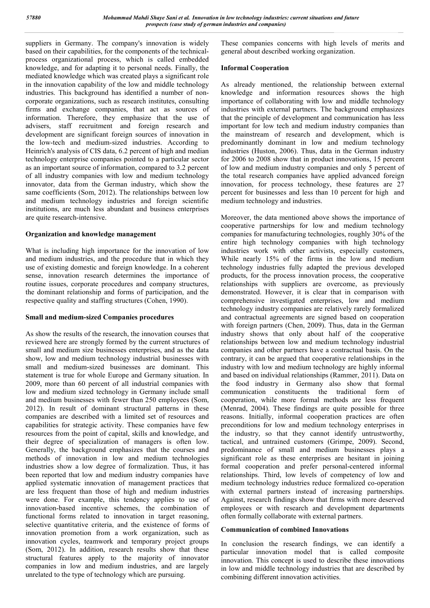suppliers in Germany. The company's innovation is widely based on their capabilities, for the components of the technicalprocess organizational process, which is called embedded knowledge, and for adapting it to personal needs. Finally, the mediated knowledge which was created plays a significant role in the innovation capability of the low and middle technology industries. This background has identified a number of noncorporate organizations, such as research institutes, consulting firms and exchange companies, that act as sources of information. Therefore, they emphasize that the use of advisers, staff recruitment and foreign research and development are significant foreign sources of innovation in the low-tech and medium-sized industries. According to Heinrich's analysis of CIS data, 6.2 percent of high and median technology enterprise companies pointed to a particular sector as an important source of information, compared to 3.2 percent of all industry companies with low and medium technology innovator, data from the German industry, which show the same coefficients (Som, 2012). The relationships between low and medium technology industries and foreign scientific institutions, are much less abundant and business enterprises are quite research-intensive.

### **Organization and knowledge management**

What is including high importance for the innovation of low and medium industries, and the procedure that in which they use of existing domestic and foreign knowledge. In a coherent sense, innovation research determines the importance of routine issues, corporate procedures and company structures, the dominant relationship and forms of participation, and the respective quality and staffing structures (Cohen, 1990).

## **Small and medium-sized Companies procedures**

As show the results of the research, the innovation courses that reviewed here are strongly formed by the current structures of small and medium size businesses enterprises, and as the data show, low and medium technology industrial businesses with small and medium-sized businesses are dominant. This statement is true for whole Europe and Germany situation. In 2009, more than 60 percent of all industrial companies with low and medium sized technology in Germany include small and medium businesses with fewer than 250 employees (Som, 2012). In result of dominant structural patterns in these companies are described with a limited set of resources and capabilities for strategic activity. These companies have few resources from the point of capital, skills and knowledge, and their degree of specialization of managers is often low. Generally, the background emphasizes that the courses and methods of innovation in low and medium technologies industries show a low degree of formalization. Thus, it has been reported that low and medium industry companies have applied systematic innovation of management practices that are less frequent than those of high and medium industries were done. For example, this tendency applies to use of innovation-based incentive schemes, the combination of functional forms related to innovation in target reasoning, selective quantitative criteria, and the existence of forms of innovation promotion from a work organization, such as innovation cycles, teamwork and temporary project groups (Som, 2012). In addition, research results show that these structural features apply to the majority of innovator companies in low and medium industries, and are largely unrelated to the type of technology which are pursuing.

These companies concerns with high levels of merits and general about described working organization.

### **Informal Cooperation**

As already mentioned, the relationship between external knowledge and information resources shows the high importance of collaborating with low and middle technology industries with external partners. The background emphasizes that the principle of development and communication has less important for low tech and medium industry companies than the mainstream of research and development, which is predominantly dominant in low and medium technology industries (Huston, 2006). Thus, data in the German industry for 2006 to 2008 show that in product innovations, 15 percent of low and medium industry companies and only 5 percent of the total research companies have applied advanced foreign innovation, for process technology, these features are 27 percent for businesses and less than 10 percent for high and medium technology and industries.

Moreover, the data mentioned above shows the importance of cooperative partnerships for low and medium technology companies for manufacturing technologies, roughly 30% of the entire high technology companies with high technology industries work with other activists, especially customers, While nearly 15% of the firms in the low and medium technology industries fully adapted the previous developed products, for the process innovation process, the cooperative relationships with suppliers are overcome, as previously demonstrated. However, it is clear that in comparison with comprehensive investigated enterprises, low and medium technology industry companies are relatively rarely formalized and contractual agreements are signed based on cooperation with foreign partners (Chen, 2009). Thus, data in the German industry shows that only about half of the cooperative relationships between low and medium technology industrial companies and other partners have a contractual basis. On the contrary, it can be argued that cooperative relationships in the industry with low and medium technology are highly informal and based on individual relationships (Rammer, 2011). Data on the food industry in Germany also show that formal communication constituents the traditional form of cooperation, while more formal methods are less frequent (Menrad, 2004). These findings are quite possible for three reasons. Initially, informal cooperation practices are often preconditions for low and medium technology enterprises in the industry, so that they cannot identify untrustworthy, tactical, and untrained customers (Grimpe, 2009). Second, predominance of small and medium businesses plays a significant role as these enterprises are hesitant in joining formal cooperation and prefer personal-centered informal relationships. Third, low levels of competency of low and medium technology industries reduce formalized co-operation with external partners instead of increasing partnerships. Against, research findings show that firms with more deserved employees or with research and development departments often formally collaborate with external partners.

### **Communication of combined Innovations**

In conclusion the research findings, we can identify a particular innovation model that is called composite innovation. This concept is used to describe these innovations in low and middle technology industries that are described by combining different innovation activities.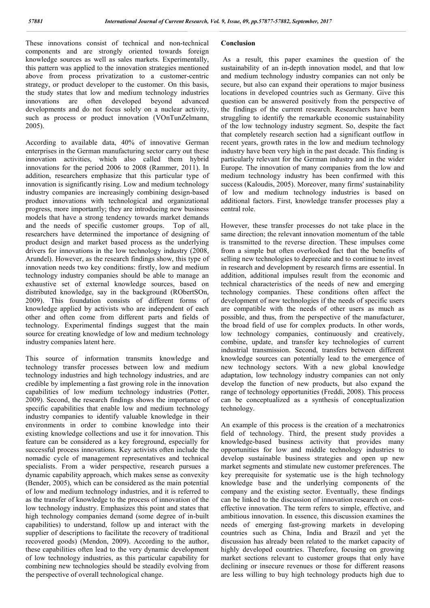These innovations consist of technical and non-technical components and are strongly oriented towards foreign knowledge sources as well as sales markets. Experimentally, this pattern was applied to the innovation strategies mentioned above from process privatization to a customer-centric strategy, or product developer to the customer. On this basis, the study states that low and medium technology industries innovations are often developed beyond advanced developments and do not focus solely on a nuclear activity, such as process or product innovation (VOnTunZelmann, 2005).

According to available data, 40% of innovative German enterprises in the German manufacturing sector carry out these innovation activities, which also called them hybrid innovations for the period 2006 to 2008 (Rammer, 2011). In addition, researchers emphasize that this particular type of innovation is significantly rising. Low and medium technology industry companies are increasingly combining design-based product innovations with technological and organizational progress, more importantly; they are introducing new business models that have a strong tendency towards market demands and the needs of specific customer groups. Top of all, researchers have determined the importance of designing of product design and market based process as the underlying drivers for innovations in the low technology industry (2008, Arundel). However, as the research findings show, this type of innovation needs two key conditions: firstly, low and medium technology industry companies should be able to manage an exhaustive set of external knowledge sources, based on distributed knowledge, say in the background (RObertSOn, 2009). This foundation consists of different forms of knowledge applied by activists who are independent of each other and often come from different parts and fields of technology. Experimental findings suggest that the main source for creating knowledge of low and medium technology industry companies latent here.

This source of information transmits knowledge and technology transfer processes between low and medium technology industries and high technology industries, and are credible by implementing a fast growing role in the innovation capabilities of low medium technology industries (Potter, 2009). Second, the research findings shows the importance of specific capabilities that enable low and medium technology industry companies to identify valuable knowledge in their environments in order to combine knowledge into their existing knowledge collections and use it for innovation. This feature can be considered as a key foreground, especially for successful process innovations. Key activists often include the nomadic cycle of management representatives and technical specialists. From a wider perspective, research pursues a dynamic capability approach, which makes sense as convexity (Bender, 2005), which can be considered as the main potential of low and medium technology industries, and it is referred to as the transfer of knowledge to the process of innovation of the low technology industry. Emphasizes this point and states that high technology companies demand (some degree of in-built capabilities) to understand, follow up and interact with the supplier of descriptions to facilitate the recovery of traditional recovered goods) (Mendon, 2009). According to the author, these capabilities often lead to the very dynamic development of low technology industries, as this particular capability for combining new technologies should be steadily evolving from the perspective of overall technological change.

### **Conclusion**

As a result, this paper examines the question of the sustainability of an in-depth innovation model, and that low and medium technology industry companies can not only be secure, but also can expand their operations to major business locations in developed countries such as Germany. Give this question can be answered positively from the perspective of the findings of the current research. Researchers have been struggling to identify the remarkable economic sustainability of the low technology industry segment. So, despite the fact that completely research section had a significant outflow in recent years, growth rates in the low and medium technology industry have been very high in the past decade. This finding is particularly relevant for the German industry and in the wider Europe. The innovation of many companies from the low and medium technology industry has been confirmed with this success (Kaloudis, 2005). Moreover, many firms' sustainability of low and medium technology industries is based on additional factors. First, knowledge transfer processes play a central role.

However, these transfer processes do not take place in the same direction; the relevant innovation momentum of the table is transmitted to the reverse direction. These impulses come from a simple but often overlooked fact that the benefits of selling new technologies to depreciate and to continue to invest in research and development by research firms are essential. In addition, additional impulses result from the economic and technical characteristics of the needs of new and emerging technology companies. These conditions often affect the development of new technologies if the needs of specific users are compatible with the needs of other users as much as possible, and thus, from the perspective of the manufacturer, the broad field of use for complex products. In other words, low technology companies, continuously and creatively, combine, update, and transfer key technologies of current industrial transmission. Second, transfers between different knowledge sources can potentially lead to the emergence of new technology sectors. With a new global knowledge adaptation, low technology industry companies can not only develop the function of new products, but also expand the range of technology opportunities (Freddi, 2008). This process can be conceptualized as a synthesis of conceptualization technology.

An example of this process is the creation of a mechatronics field of technology. Third, the present study provides a knowledge-based business activity that provides many opportunities for low and middle technology industries to develop sustainable business strategies and open up new market segments and stimulate new customer preferences. The key prerequisite for systematic use is the high technology knowledge base and the underlying components of the company and the existing sector. Eventually, these findings can be linked to the discussion of innovation research on costeffective innovation. The term refers to simple, effective, and ambitious innovation. In essence, this discussion examines the needs of emerging fast-growing markets in developing countries such as China, India and Brazil and yet the discussion has already been related to the market capacity of highly developed countries. Therefore, focusing on growing market sections relevant to customer groups that only have declining or insecure revenues or those for different reasons are less willing to buy high technology products high due to